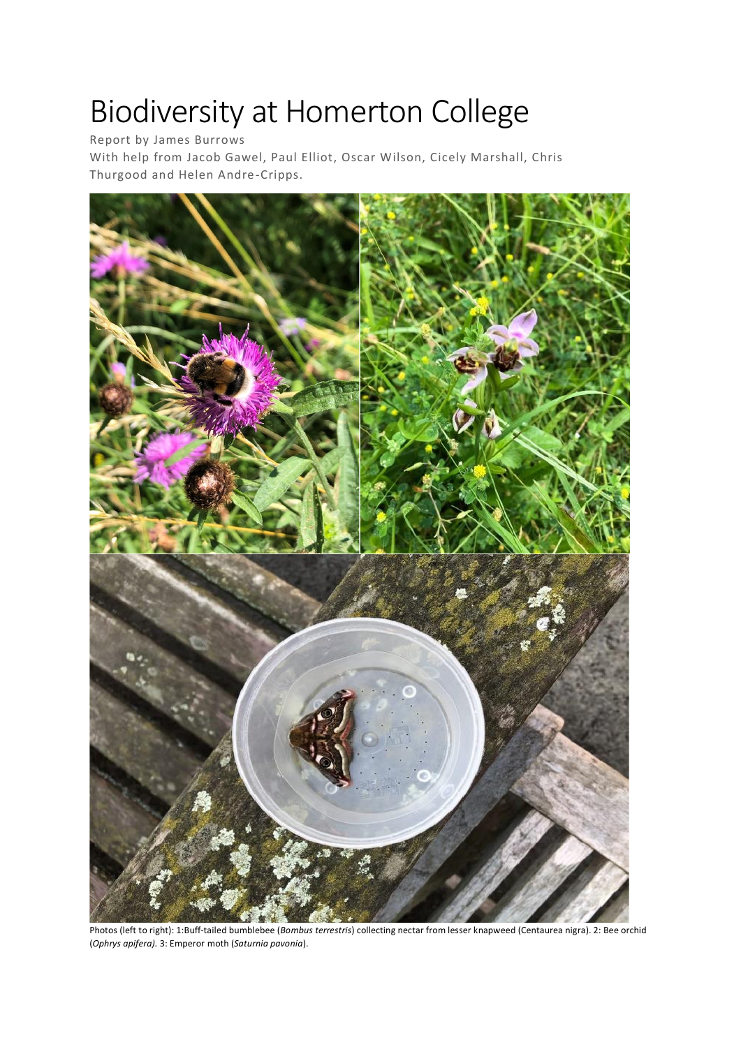# Biodiversity at Homerton College

Report by James Burrows

With help from Jacob Gawel, Paul Elliot, Oscar Wilson, Cicely Marshall, Chris Thurgood and Helen Andre-Cripps.



Photos (left to right): 1:Buff-tailed bumblebee (*Bombus terrestris*) collecting nectar from lesser knapweed (Centaurea nigra). 2: Bee orchid (*Ophrys apifera).* 3: Emperor moth (*Saturnia pavonia*).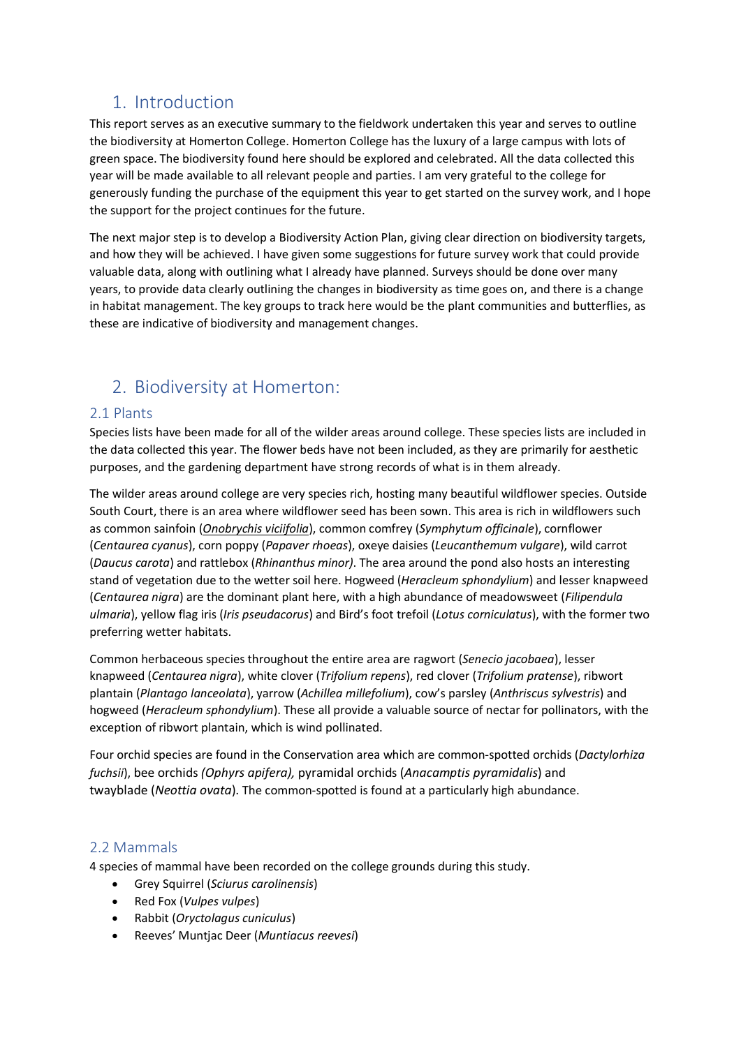# 1. Introduction

This report serves as an executive summary to the fieldwork undertaken this year and serves to outline the biodiversity at Homerton College. Homerton College has the luxury of a large campus with lots of green space. The biodiversity found here should be explored and celebrated. All the data collected this year will be made available to all relevant people and parties. I am very grateful to the college for generously funding the purchase of the equipment this year to get started on the survey work, and I hope the support for the project continues for the future.

The next major step is to develop a Biodiversity Action Plan, giving clear direction on biodiversity targets, and how they will be achieved. I have given some suggestions for future survey work that could provide valuable data, along with outlining what I already have planned. Surveys should be done over many years, to provide data clearly outlining the changes in biodiversity as time goes on, and there is a change in habitat management. The key groups to track here would be the plant communities and butterflies, as these are indicative of biodiversity and management changes.

# 2. Biodiversity at Homerton:

## 2.1 Plants

Species lists have been made for all of the wilder areas around college. These species lists are included in the data collected this year. The flower beds have not been included, as they are primarily for aesthetic purposes, and the gardening department have strong records of what is in them already.

The wilder areas around college are very species rich, hosting many beautiful wildflower species. Outside South Court, there is an area where wildflower seed has been sown. This area is rich in wildflowers such as common sainfoin (*Onobrychis viciifolia*), common comfrey (*Symphytum officinale*), cornflower (*Centaurea cyanus*), corn poppy (*Papaver rhoeas*), oxeye daisies (*Leucanthemum vulgare*), wild carrot (*Daucus carota*) and rattlebox (*Rhinanthus minor)*. The area around the pond also hosts an interesting stand of vegetation due to the wetter soil here. Hogweed (*Heracleum sphondylium*) and lesser knapweed (*Centaurea nigra*) are the dominant plant here, with a high abundance of meadowsweet (*Filipendula ulmaria*), yellow flag iris (*Iris pseudacorus*) and Bird's foot trefoil (*Lotus corniculatus*), with the former two preferring wetter habitats.

Common herbaceous species throughout the entire area are ragwort (*Senecio jacobaea*), lesser knapweed (*Centaurea nigra*), white clover (*Trifolium repens*), red clover (*Trifolium pratense*), ribwort plantain (*Plantago lanceolata*), yarrow (*Achillea millefolium*), cow's parsley (*Anthriscus sylvestris*) and hogweed (*Heracleum sphondylium*). These all provide a valuable source of nectar for pollinators, with the exception of ribwort plantain, which is wind pollinated.

Four orchid species are found in the Conservation area which are common-spotted orchids (*Dactylorhiza fuchsii*), bee orchids *(Ophyrs apifera),* pyramidal orchids (*Anacamptis pyramidalis*) and twayblade (*Neottia ovata*). The common-spotted is found at a particularly high abundance.

## 2.2 Mammals

4 species of mammal have been recorded on the college grounds during this study.

- Grey Squirrel (*Sciurus carolinensis*)
- Red Fox (*Vulpes vulpes*)
- Rabbit (*Oryctolagus cuniculus*)
- Reeves' Muntjac Deer (*Muntiacus reevesi*)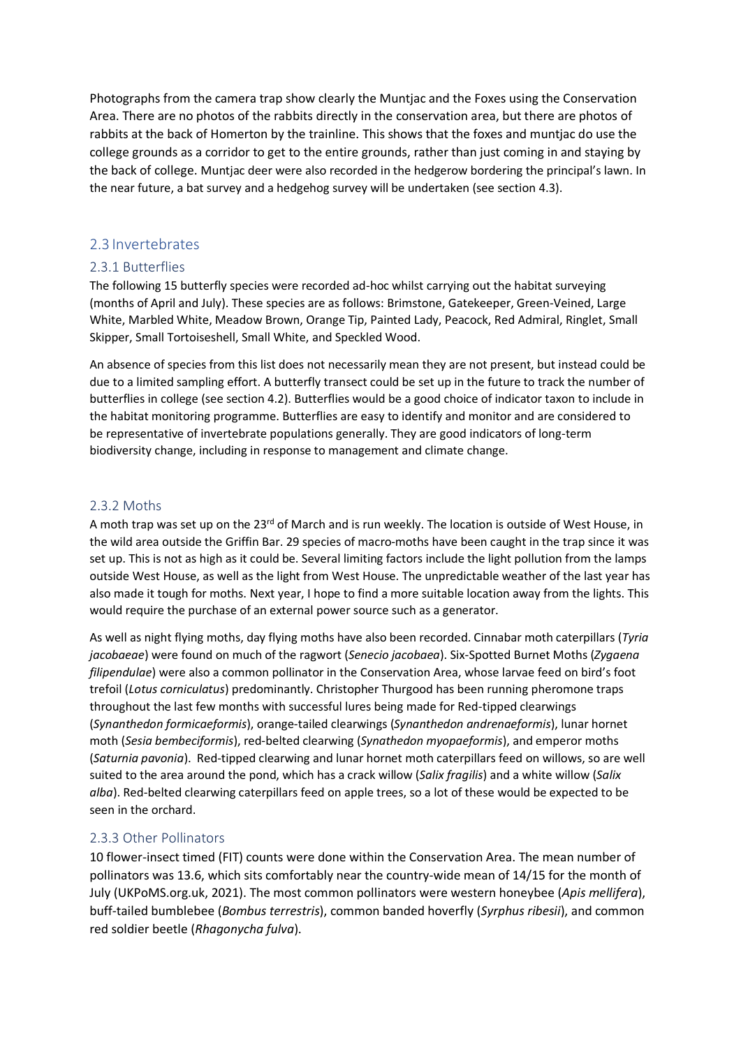Photographs from the camera trap show clearly the Muntjac and the Foxes using the Conservation Area. There are no photos of the rabbits directly in the conservation area, but there are photos of rabbits at the back of Homerton by the trainline. This shows that the foxes and muntjac do use the college grounds as a corridor to get to the entire grounds, rather than just coming in and staying by the back of college. Muntjac deer were also recorded in the hedgerow bordering the principal's lawn. In the near future, a bat survey and a hedgehog survey will be undertaken (see section 4.3).

### 2.3 Invertebrates

#### 2.3.1 Butterflies

The following 15 butterfly species were recorded ad-hoc whilst carrying out the habitat surveying (months of April and July). These species are as follows: Brimstone, Gatekeeper, Green-Veined, Large White, Marbled White, Meadow Brown, Orange Tip, Painted Lady, Peacock, Red Admiral, Ringlet, Small Skipper, Small Tortoiseshell, Small White, and Speckled Wood.

An absence of species from this list does not necessarily mean they are not present, but instead could be due to a limited sampling effort. A butterfly transect could be set up in the future to track the number of butterflies in college (see section 4.2). Butterflies would be a good choice of indicator taxon to include in the habitat monitoring programme. Butterflies are easy to identify and monitor and are considered to be representative of invertebrate populations generally. They are good indicators of long-term biodiversity change, including in response to management and climate change.

#### 2.3.2 Moths

A moth trap was set up on the 23<sup>rd</sup> of March and is run weekly. The location is outside of West House, in the wild area outside the Griffin Bar. 29 species of macro-moths have been caught in the trap since it was set up. This is not as high as it could be. Several limiting factors include the light pollution from the lamps outside West House, as well as the light from West House. The unpredictable weather of the last year has also made it tough for moths. Next year, I hope to find a more suitable location away from the lights. This would require the purchase of an external power source such as a generator.

As well as night flying moths, day flying moths have also been recorded. Cinnabar moth caterpillars (*Tyria jacobaeae*) were found on much of the ragwort (*Senecio jacobaea*). Six-Spotted Burnet Moths (*Zygaena filipendulae*) were also a common pollinator in the Conservation Area, whose larvae feed on bird's foot trefoil (*Lotus corniculatus*) predominantly. Christopher Thurgood has been running pheromone traps throughout the last few months with successful lures being made for Red-tipped clearwings (*Synanthedon formicaeformis*), orange-tailed clearwings (*Synanthedon andrenaeformis*), lunar hornet moth (*Sesia bembeciformis*), red-belted clearwing (*Synathedon myopaeformis*), and emperor moths (*Saturnia pavonia*). Red-tipped clearwing and lunar hornet moth caterpillars feed on willows, so are well suited to the area around the pond, which has a crack willow (*Salix fragilis*) and a white willow (*Salix alba*). Red-belted clearwing caterpillars feed on apple trees, so a lot of these would be expected to be seen in the orchard.

#### 2.3.3 Other Pollinators

10 flower-insect timed (FIT) counts were done within the Conservation Area. The mean number of pollinators was 13.6, which sits comfortably near the country-wide mean of 14/15 for the month of July (UKPoMS.org.uk, 2021). The most common pollinators were western honeybee (*Apis mellifera*), buff-tailed bumblebee (*Bombus terrestris*), common banded hoverfly (*Syrphus ribesii*), and common red soldier beetle (*Rhagonycha fulva*).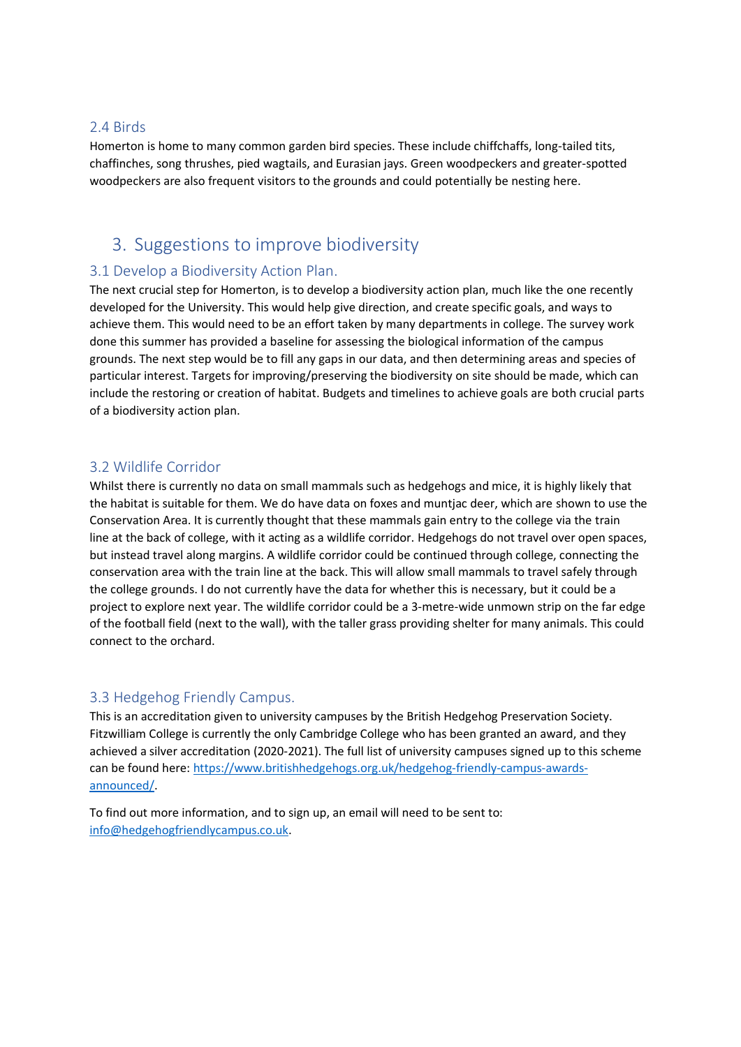#### 2.4 Birds

Homerton is home to many common garden bird species. These include chiffchaffs, long-tailed tits, chaffinches, song thrushes, pied wagtails, and Eurasian jays. Green woodpeckers and greater-spotted woodpeckers are also frequent visitors to the grounds and could potentially be nesting here.

# 3. Suggestions to improve biodiversity

#### 3.1 Develop a Biodiversity Action Plan.

The next crucial step for Homerton, is to develop a biodiversity action plan, much like the one recently developed for the University. This would help give direction, and create specific goals, and ways to achieve them. This would need to be an effort taken by many departments in college. The survey work done this summer has provided a baseline for assessing the biological information of the campus grounds. The next step would be to fill any gaps in our data, and then determining areas and species of particular interest. Targets for improving/preserving the biodiversity on site should be made, which can include the restoring or creation of habitat. Budgets and timelines to achieve goals are both crucial parts of a biodiversity action plan.

#### 3.2 Wildlife Corridor

Whilst there is currently no data on small mammals such as hedgehogs and mice, it is highly likely that the habitat is suitable for them. We do have data on foxes and muntjac deer, which are shown to use the Conservation Area. It is currently thought that these mammals gain entry to the college via the train line at the back of college, with it acting as a wildlife corridor. Hedgehogs do not travel over open spaces, but instead travel along margins. A wildlife corridor could be continued through college, connecting the conservation area with the train line at the back. This will allow small mammals to travel safely through the college grounds. I do not currently have the data for whether this is necessary, but it could be a project to explore next year. The wildlife corridor could be a 3-metre-wide unmown strip on the far edge of the football field (next to the wall), with the taller grass providing shelter for many animals. This could connect to the orchard.

#### 3.3 Hedgehog Friendly Campus.

This is an accreditation given to university campuses by the British Hedgehog Preservation Society. Fitzwilliam College is currently the only Cambridge College who has been granted an award, and they achieved a silver accreditation (2020-2021). The full list of university campuses signed up to this scheme can be found here: [https://www.britishhedgehogs.org.uk/hedgehog-friendly-campus-awards](https://www.britishhedgehogs.org.uk/hedgehog-friendly-campus-awards-announced/)[announced/.](https://www.britishhedgehogs.org.uk/hedgehog-friendly-campus-awards-announced/)

To find out more information, and to sign up, an email will need to be sent to: [info@hedgehogfriendlycampus.co.uk.](mailto:info@hedgehogfriendlycampus.co.uk)